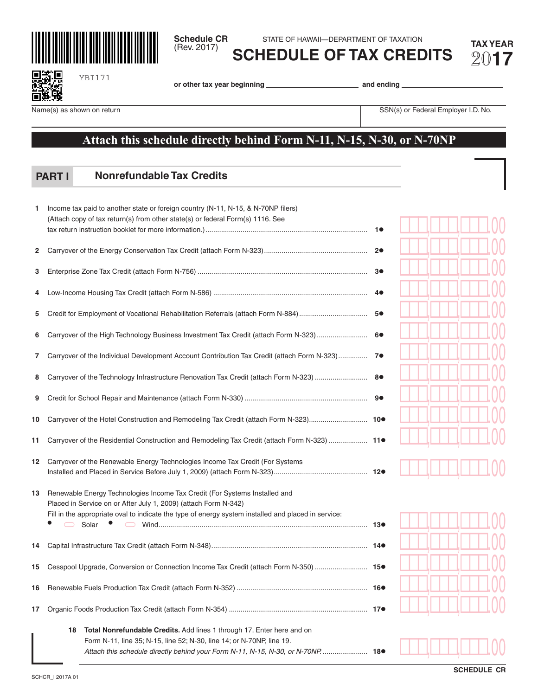**Schedule CR** STATE OF HAWAII—DEPARTMENT OF TAXATION<br>(Rev. 2017) **COLLEDILLE OF TAY ODER** Gev. 2017) **COLLED LIE OF TAX OF TAX OF FRIED** 

**SCHEDULE OF TAX CREDITS** 20**17**

| ۲        | J. |
|----------|----|
| e f<br>٠ | ø  |

**or other tax year beginning and ending** 

YBI171

Name(s) as shown on return SSN(s) or Federal Employer I.D. No.

## **Attach this schedule directly behind Form N-11, N-15, N-30, or N-70NP**

## **Nonrefundable Tax Credits PART I**

| 1  | Income tax paid to another state or foreign country (N-11, N-15, & N-70NP filers)<br>(Attach copy of tax return(s) from other state(s) or federal Form(s) 1116. See |    |  |  |  |  |
|----|---------------------------------------------------------------------------------------------------------------------------------------------------------------------|----|--|--|--|--|
|    |                                                                                                                                                                     |    |  |  |  |  |
| 2  |                                                                                                                                                                     |    |  |  |  |  |
| 3  |                                                                                                                                                                     |    |  |  |  |  |
| 4  |                                                                                                                                                                     | 40 |  |  |  |  |
| 5  |                                                                                                                                                                     | 5● |  |  |  |  |
| 6  | Carryover of the High Technology Business Investment Tax Credit (attach Form N-323)                                                                                 | 60 |  |  |  |  |
| 7  | Carryover of the Individual Development Account Contribution Tax Credit (attach Form N-323) 7 <sup>0</sup>                                                          |    |  |  |  |  |
| 8  | Carryover of the Technology Infrastructure Renovation Tax Credit (attach Form N-323)                                                                                | 8● |  |  |  |  |
| 9  |                                                                                                                                                                     |    |  |  |  |  |
| 10 | Carryover of the Hotel Construction and Remodeling Tax Credit (attach Form N-323) 10●                                                                               |    |  |  |  |  |
| 11 | Carryover of the Residential Construction and Remodeling Tax Credit (attach Form N-323)  11●                                                                        |    |  |  |  |  |
| 12 | Carryover of the Renewable Energy Technologies Income Tax Credit (For Systems                                                                                       |    |  |  |  |  |
| 13 | Renewable Energy Technologies Income Tax Credit (For Systems Installed and<br>Placed in Service on or After July 1, 2009) (attach Form N-342)                       |    |  |  |  |  |
|    | Fill in the appropriate oval to indicate the type of energy system installed and placed in service:<br>$\Box$<br>Solar •                                            |    |  |  |  |  |
| 14 |                                                                                                                                                                     |    |  |  |  |  |
| 15 | Cesspool Upgrade, Conversion or Connection Income Tax Credit (attach Form N-350)  15●                                                                               |    |  |  |  |  |
| 16 |                                                                                                                                                                     |    |  |  |  |  |
| 17 |                                                                                                                                                                     |    |  |  |  |  |
|    | <b>Total Nonrefundable Credits.</b> Add lines 1 through 17. Enter here and on<br>18                                                                                 |    |  |  |  |  |
|    | Form N-11, line 35; N-15, line 52; N-30, line 14; or N-70NP, line 19.<br>Attach this schedule directly behind your Form N-11, N-15, N-30, or N-70NP 18.             |    |  |  |  |  |